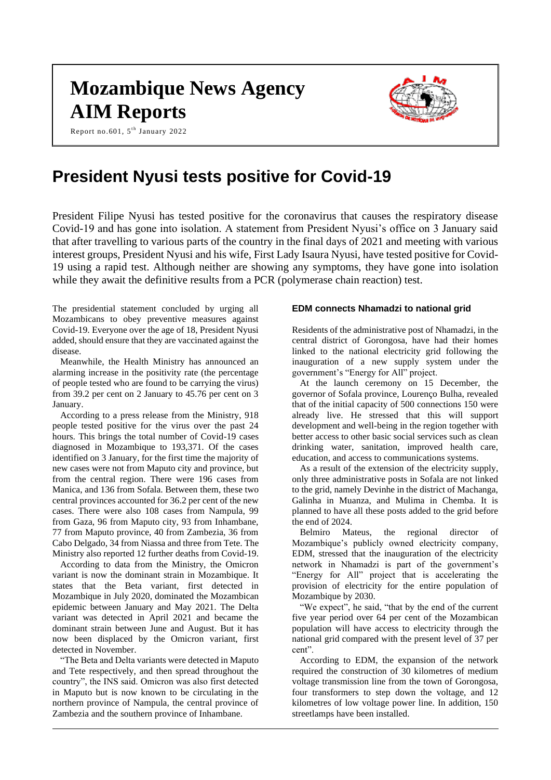# **Mozambique News Agency AIM Reports**



Report no.601, 5<sup>th</sup> January 2022

# **President Nyusi tests positive for Covid-19**

President Filipe Nyusi has tested positive for the coronavirus that causes the respiratory disease Covid-19 and has gone into isolation. A statement from President Nyusi's office on 3 January said that after travelling to various parts of the country in the final days of 2021 and meeting with various interest groups, President Nyusi and his wife, First Lady Isaura Nyusi, have tested positive for Covid-19 using a rapid test. Although neither are showing any symptoms, they have gone into isolation while they await the definitive results from a PCR (polymerase chain reaction) test.

The presidential statement concluded by urging all Mozambicans to obey preventive measures against Covid-19. Everyone over the age of 18, President Nyusi added, should ensure that they are vaccinated against the disease.

Meanwhile, the Health Ministry has announced an alarming increase in the positivity rate (the percentage of people tested who are found to be carrying the virus) from 39.2 per cent on 2 January to 45.76 per cent on 3 January.

According to a press release from the Ministry, 918 people tested positive for the virus over the past 24 hours. This brings the total number of Covid-19 cases diagnosed in Mozambique to 193,371. Of the cases identified on 3 January, for the first time the majority of new cases were not from Maputo city and province, but from the central region. There were 196 cases from Manica, and 136 from Sofala. Between them, these two central provinces accounted for 36.2 per cent of the new cases. There were also 108 cases from Nampula, 99 from Gaza, 96 from Maputo city, 93 from Inhambane, 77 from Maputo province, 40 from Zambezia, 36 from Cabo Delgado, 34 from Niassa and three from Tete. The Ministry also reported 12 further deaths from Covid-19.

According to data from the Ministry, the Omicron variant is now the dominant strain in Mozambique. It states that the Beta variant, first detected in Mozambique in July 2020, dominated the Mozambican epidemic between January and May 2021. The Delta variant was detected in April 2021 and became the dominant strain between June and August. But it has now been displaced by the Omicron variant, first detected in November.

"The Beta and Delta variants were detected in Maputo and Tete respectively, and then spread throughout the country", the INS said. Omicron was also first detected in Maputo but is now known to be circulating in the northern province of Nampula, the central province of Zambezia and the southern province of Inhambane.

#### **EDM connects Nhamadzi to national grid**

Residents of the administrative post of Nhamadzi, in the central district of Gorongosa, have had their homes linked to the national electricity grid following the inauguration of a new supply system under the government's "Energy for All" project.

At the launch ceremony on 15 December, the governor of Sofala province, Lourenço Bulha, revealed that of the initial capacity of 500 connections 150 were already live. He stressed that this will support development and well-being in the region together with better access to other basic social services such as clean drinking water, sanitation, improved health care, education, and access to communications systems.

As a result of the extension of the electricity supply, only three administrative posts in Sofala are not linked to the grid, namely Devinhe in the district of Machanga, Galinha in Muanza, and Mulima in Chemba. It is planned to have all these posts added to the grid before the end of 2024.

Belmiro Mateus, the regional director of Mozambique's publicly owned electricity company, EDM, stressed that the inauguration of the electricity network in Nhamadzi is part of the government's "Energy for All" project that is accelerating the provision of electricity for the entire population of Mozambique by 2030.

"We expect", he said, "that by the end of the current five year period over 64 per cent of the Mozambican population will have access to electricity through the national grid compared with the present level of 37 per cent".

According to EDM, the expansion of the network required the construction of 30 kilometres of medium voltage transmission line from the town of Gorongosa, four transformers to step down the voltage, and 12 kilometres of low voltage power line. In addition, 150 streetlamps have been installed.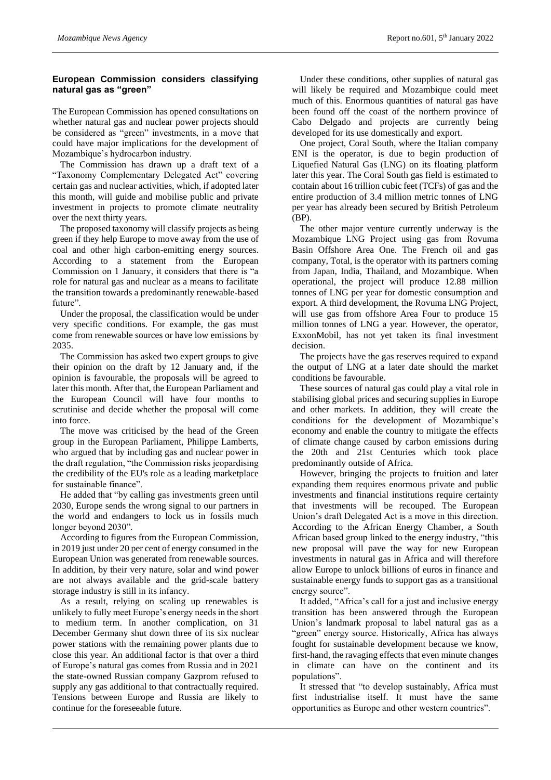# **European Commission considers classifying natural gas as "green"**

The European Commission has opened consultations on whether natural gas and nuclear power projects should be considered as "green" investments, in a move that could have major implications for the development of Mozambique's hydrocarbon industry.

The Commission has drawn up a draft text of a "Taxonomy Complementary Delegated Act" covering certain gas and nuclear activities, which, if adopted later this month, will guide and mobilise public and private investment in projects to promote climate neutrality over the next thirty years.

The proposed taxonomy will classify projects as being green if they help Europe to move away from the use of coal and other high carbon-emitting energy sources. According to a statement from the European Commission on 1 January, it considers that there is "a role for natural gas and nuclear as a means to facilitate the transition towards a predominantly renewable-based future".

Under the proposal, the classification would be under very specific conditions. For example, the gas must come from renewable sources or have low emissions by 2035.

The Commission has asked two expert groups to give their opinion on the draft by 12 January and, if the opinion is favourable, the proposals will be agreed to later this month. After that, the European Parliament and the European Council will have four months to scrutinise and decide whether the proposal will come into force.

The move was criticised by the head of the Green group in the European Parliament, Philippe Lamberts, who argued that by including gas and nuclear power in the draft regulation, "the Commission risks jeopardising the credibility of the EU's role as a leading marketplace for sustainable finance".

He added that "by calling gas investments green until 2030, Europe sends the wrong signal to our partners in the world and endangers to lock us in fossils much longer beyond 2030".

According to figures from the European Commission, in 2019 just under 20 per cent of energy consumed in the European Union was generated from renewable sources. In addition, by their very nature, solar and wind power are not always available and the grid-scale battery storage industry is still in its infancy.

As a result, relying on scaling up renewables is unlikely to fully meet Europe's energy needs in the short to medium term. In another complication, on 31 December Germany shut down three of its six nuclear power stations with the remaining power plants due to close this year. An additional factor is that over a third of Europe's natural gas comes from Russia and in 2021 the state-owned Russian company Gazprom refused to supply any gas additional to that contractually required. Tensions between Europe and Russia are likely to continue for the foreseeable future.

Under these conditions, other supplies of natural gas will likely be required and Mozambique could meet much of this. Enormous quantities of natural gas have been found off the coast of the northern province of Cabo Delgado and projects are currently being developed for its use domestically and export.

One project, Coral South, where the Italian company ENI is the operator, is due to begin production of Liquefied Natural Gas (LNG) on its floating platform later this year. The Coral South gas field is estimated to contain about 16 trillion cubic feet (TCFs) of gas and the entire production of 3.4 million metric tonnes of LNG per year has already been secured by British Petroleum (BP).

The other major venture currently underway is the Mozambique LNG Project using gas from Rovuma Basin Offshore Area One. The French oil and gas company, Total, is the operator with its partners coming from Japan, India, Thailand, and Mozambique. When operational, the project will produce 12.88 million tonnes of LNG per year for domestic consumption and export. A third development, the Rovuma LNG Project, will use gas from offshore Area Four to produce 15 million tonnes of LNG a year. However, the operator, ExxonMobil, has not yet taken its final investment decision.

The projects have the gas reserves required to expand the output of LNG at a later date should the market conditions be favourable.

These sources of natural gas could play a vital role in stabilising global prices and securing supplies in Europe and other markets. In addition, they will create the conditions for the development of Mozambique's economy and enable the country to mitigate the effects of climate change caused by carbon emissions during the 20th and 21st Centuries which took place predominantly outside of Africa.

However, bringing the projects to fruition and later expanding them requires enormous private and public investments and financial institutions require certainty that investments will be recouped. The European Union's draft Delegated Act is a move in this direction. According to the African Energy Chamber, a South African based group linked to the energy industry, "this new proposal will pave the way for new European investments in natural gas in Africa and will therefore allow Europe to unlock billions of euros in finance and sustainable energy funds to support gas as a transitional energy source".

It added, "Africa's call for a just and inclusive energy transition has been answered through the European Union's landmark proposal to label natural gas as a "green" energy source. Historically, Africa has always fought for sustainable development because we know, first-hand, the ravaging effects that even minute changes in climate can have on the continent and its populations".

It stressed that "to develop sustainably, Africa must first industrialise itself. It must have the same opportunities as Europe and other western countries".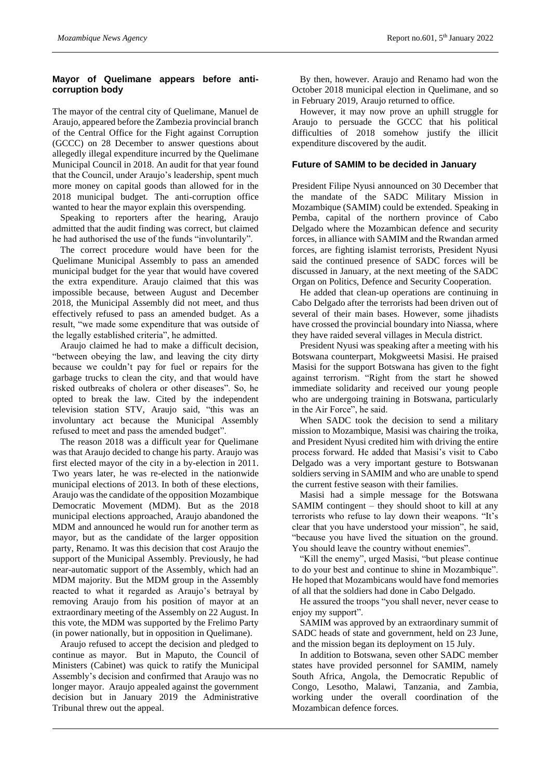# **Mayor of Quelimane appears before anticorruption body**

The mayor of the central city of Quelimane, Manuel de Araujo, appeared before the Zambezia provincial branch of the Central Office for the Fight against Corruption (GCCC) on 28 December to answer questions about allegedly illegal expenditure incurred by the Quelimane Municipal Council in 2018. An audit for that year found that the Council, under Araujo's leadership, spent much more money on capital goods than allowed for in the 2018 municipal budget. The anti-corruption office wanted to hear the mayor explain this overspending.

Speaking to reporters after the hearing, Araujo admitted that the audit finding was correct, but claimed he had authorised the use of the funds "involuntarily".

The correct procedure would have been for the Quelimane Municipal Assembly to pass an amended municipal budget for the year that would have covered the extra expenditure. Araujo claimed that this was impossible because, between August and December 2018, the Municipal Assembly did not meet, and thus effectively refused to pass an amended budget. As a result, "we made some expenditure that was outside of the legally established criteria", he admitted.

Araujo claimed he had to make a difficult decision, "between obeying the law, and leaving the city dirty because we couldn't pay for fuel or repairs for the garbage trucks to clean the city, and that would have risked outbreaks of cholera or other diseases". So, he opted to break the law. Cited by the independent television station STV, Araujo said, "this was an involuntary act because the Municipal Assembly refused to meet and pass the amended budget".

The reason 2018 was a difficult year for Quelimane was that Araujo decided to change his party. Araujo was first elected mayor of the city in a by-election in 2011. Two years later, he was re-elected in the nationwide municipal elections of 2013. In both of these elections, Araujo was the candidate of the opposition Mozambique Democratic Movement (MDM). But as the 2018 municipal elections approached, Araujo abandoned the MDM and announced he would run for another term as mayor, but as the candidate of the larger opposition party, Renamo. It was this decision that cost Araujo the support of the Municipal Assembly. Previously, he had near-automatic support of the Assembly, which had an MDM majority. But the MDM group in the Assembly reacted to what it regarded as Araujo's betrayal by removing Araujo from his position of mayor at an extraordinary meeting of the Assembly on 22 August. In this vote, the MDM was supported by the Frelimo Party (in power nationally, but in opposition in Quelimane).

Araujo refused to accept the decision and pledged to continue as mayor. But in Maputo, the Council of Ministers (Cabinet) was quick to ratify the Municipal Assembly's decision and confirmed that Araujo was no longer mayor. Araujo appealed against the government decision but in January 2019 the Administrative Tribunal threw out the appeal.

By then, however. Araujo and Renamo had won the October 2018 municipal election in Quelimane, and so in February 2019, Araujo returned to office.

However, it may now prove an uphill struggle for Araujo to persuade the GCCC that his political difficulties of 2018 somehow justify the illicit expenditure discovered by the audit.

### **Future of SAMIM to be decided in January**

President Filipe Nyusi announced on 30 December that the mandate of the SADC Military Mission in Mozambique (SAMIM) could be extended. Speaking in Pemba, capital of the northern province of Cabo Delgado where the Mozambican defence and security forces, in alliance with SAMIM and the Rwandan armed forces, are fighting islamist terrorists, President Nyusi said the continued presence of SADC forces will be discussed in January, at the next meeting of the SADC Organ on Politics, Defence and Security Cooperation.

He added that clean-up operations are continuing in Cabo Delgado after the terrorists had been driven out of several of their main bases. However, some jihadists have crossed the provincial boundary into Niassa, where they have raided several villages in Mecula district.

President Nyusi was speaking after a meeting with his Botswana counterpart, Mokgweetsi Masisi. He praised Masisi for the support Botswana has given to the fight against terrorism. "Right from the start he showed immediate solidarity and received our young people who are undergoing training in Botswana, particularly in the Air Force", he said.

When SADC took the decision to send a military mission to Mozambique, Masisi was chairing the troika, and President Nyusi credited him with driving the entire process forward. He added that Masisi's visit to Cabo Delgado was a very important gesture to Botswanan soldiers serving in SAMIM and who are unable to spend the current festive season with their families.

Masisi had a simple message for the Botswana SAMIM contingent – they should shoot to kill at any terrorists who refuse to lay down their weapons. "It's clear that you have understood your mission", he said, "because you have lived the situation on the ground. You should leave the country without enemies".

"Kill the enemy", urged Masisi, "but please continue to do your best and continue to shine in Mozambique". He hoped that Mozambicans would have fond memories of all that the soldiers had done in Cabo Delgado.

He assured the troops "you shall never, never cease to enjoy my support".

SAMIM was approved by an extraordinary summit of SADC heads of state and government, held on 23 June, and the mission began its deployment on 15 July.

In addition to Botswana, seven other SADC member states have provided personnel for SAMIM, namely South Africa, Angola, the Democratic Republic of Congo, Lesotho, Malawi, Tanzania, and Zambia, working under the overall coordination of the Mozambican defence forces.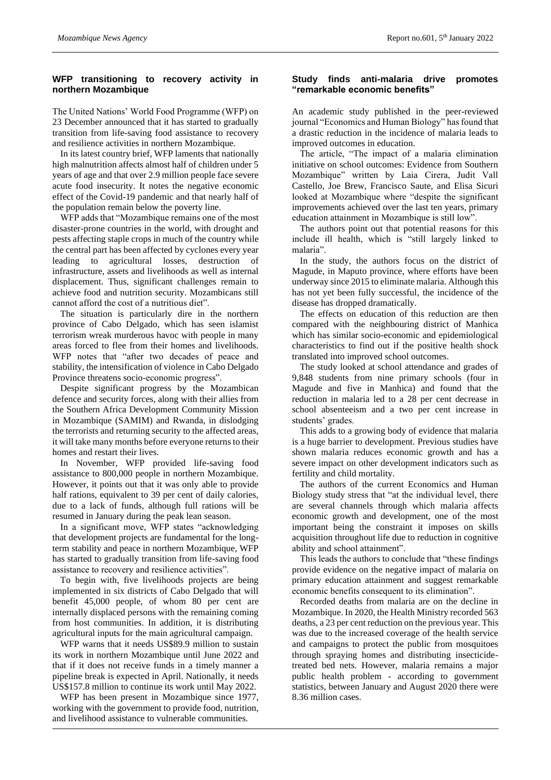# **WFP transitioning to recovery activity in northern Mozambique**

The United Nations' World Food Programme (WFP) on 23 December announced that it has started to gradually transition from life-saving food assistance to recovery and resilience activities in northern Mozambique.

In its latest country brief, WFP laments that nationally high malnutrition affects almost half of children under 5 years of age and that over 2.9 million people face severe acute food insecurity. It notes the negative economic effect of the Covid-19 pandemic and that nearly half of the population remain below the poverty line.

WFP adds that "Mozambique remains one of the most disaster-prone countries in the world, with drought and pests affecting staple crops in much of the country while the central part has been affected by cyclones every year leading to agricultural losses, destruction of infrastructure, assets and livelihoods as well as internal displacement. Thus, significant challenges remain to achieve food and nutrition security. Mozambicans still cannot afford the cost of a nutritious diet".

The situation is particularly dire in the northern province of Cabo Delgado, which has seen islamist terrorism wreak murderous havoc with people in many areas forced to flee from their homes and livelihoods. WFP notes that "after two decades of peace and stability, the intensification of violence in Cabo Delgado Province threatens socio-economic progress".

Despite significant progress by the Mozambican defence and security forces, along with their allies from the Southern Africa Development Community Mission in Mozambique (SAMIM) and Rwanda, in dislodging the terrorists and returning security to the affected areas, it will take many months before everyone returns to their homes and restart their lives.

In November, WFP provided life-saving food assistance to 800,000 people in northern Mozambique. However, it points out that it was only able to provide half rations, equivalent to 39 per cent of daily calories, due to a lack of funds, although full rations will be resumed in January during the peak lean season.

In a significant move, WFP states "acknowledging that development projects are fundamental for the longterm stability and peace in northern Mozambique, WFP has started to gradually transition from life-saving food assistance to recovery and resilience activities".

To begin with, five livelihoods projects are being implemented in six districts of Cabo Delgado that will benefit 45,000 people, of whom 80 per cent are internally displaced persons with the remaining coming from host communities. In addition, it is distributing agricultural inputs for the main agricultural campaign.

WFP warns that it needs US\$89.9 million to sustain its work in northern Mozambique until June 2022 and that if it does not receive funds in a timely manner a pipeline break is expected in April. Nationally, it needs US\$157.8 million to continue its work until May 2022.

WFP has been present in Mozambique since 1977, working with the government to provide food, nutrition, and livelihood assistance to vulnerable communities.

### **Study finds anti-malaria drive promotes "remarkable economic benefits"**

An academic study published in the peer-reviewed journal "Economics and Human Biology" has found that a drastic reduction in the incidence of malaria leads to improved outcomes in education.

The article, "The impact of a malaria elimination initiative on school outcomes: Evidence from Southern Mozambique" written by Laia Cirera, Judit Vall Castello, Joe Brew, Francisco Saute, and Elisa Sicuri looked at Mozambique where "despite the significant improvements achieved over the last ten years, primary education attainment in Mozambique is still low".

The authors point out that potential reasons for this include ill health, which is "still largely linked to malaria".

In the study, the authors focus on the district of Magude, in Maputo province, where efforts have been underway since 2015 to eliminate malaria. Although this has not yet been fully successful, the incidence of the disease has dropped dramatically.

The effects on education of this reduction are then compared with the neighbouring district of Manhica which has similar socio-economic and epidemiological characteristics to find out if the positive health shock translated into improved school outcomes.

The study looked at school attendance and grades of 9,848 students from nine primary schools (four in Magude and five in Manhica) and found that the reduction in malaria led to a 28 per cent decrease in school absenteeism and a two per cent increase in students' grades.

This adds to a growing body of evidence that malaria is a huge barrier to development. Previous studies have shown malaria reduces economic growth and has a severe impact on other development indicators such as fertility and child mortality.

The authors of the current Economics and Human Biology study stress that "at the individual level, there are several channels through which malaria affects economic growth and development, one of the most important being the constraint it imposes on skills acquisition throughout life due to reduction in cognitive ability and school attainment".

This leads the authors to conclude that "these findings provide evidence on the negative impact of malaria on primary education attainment and suggest remarkable economic benefits consequent to its elimination".

Recorded deaths from malaria are on the decline in Mozambique. In 2020, the Health Ministry recorded 563 deaths, a 23 per cent reduction on the previous year. This was due to the increased coverage of the health service and campaigns to protect the public from mosquitoes through spraying homes and distributing insecticidetreated bed nets. However, malaria remains a major public health problem - according to government statistics, between January and August 2020 there were 8.36 million cases.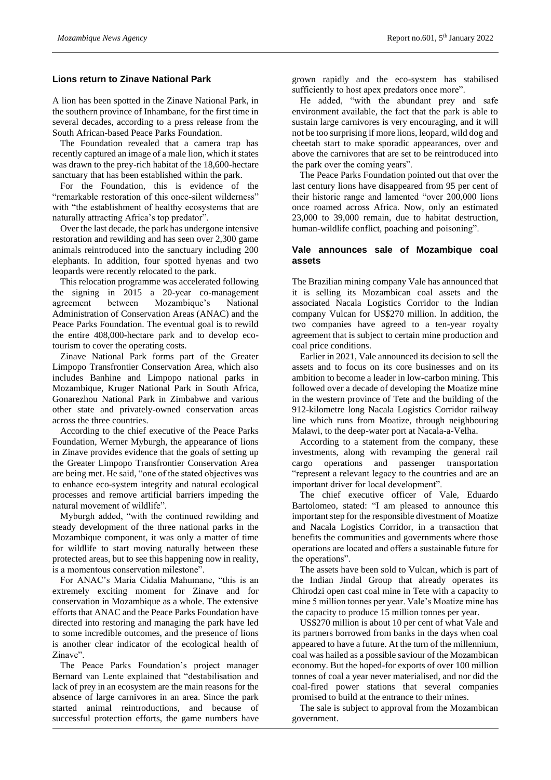# **Lions return to Zinave National Park**

A lion has been spotted in the Zinave National Park, in the southern province of Inhambane, for the first time in several decades, according to a press release from the South African-based Peace Parks Foundation.

The Foundation revealed that a camera trap has recently captured an image of a male lion, which it states was drawn to the prey-rich habitat of the 18,600-hectare sanctuary that has been established within the park.

For the Foundation, this is evidence of the "remarkable restoration of this once-silent wilderness" with "the establishment of healthy ecosystems that are naturally attracting Africa's top predator".

Over the last decade, the park has undergone intensive restoration and rewilding and has seen over 2,300 game animals reintroduced into the sanctuary including 200 elephants. In addition, four spotted hyenas and two leopards were recently relocated to the park.

This relocation programme was accelerated following the signing in 2015 a 20-year co-management agreement between Mozambique's National Administration of Conservation Areas (ANAC) and the Peace Parks Foundation. The eventual goal is to rewild the entire 408,000-hectare park and to develop ecotourism to cover the operating costs.

Zinave National Park forms part of the Greater Limpopo Transfrontier Conservation Area, which also includes Banhine and Limpopo national parks in Mozambique, Kruger National Park in South Africa, Gonarezhou National Park in Zimbabwe and various other state and privately-owned conservation areas across the three countries.

According to the chief executive of the Peace Parks Foundation, Werner Myburgh, the appearance of lions in Zinave provides evidence that the goals of setting up the Greater Limpopo Transfrontier Conservation Area are being met. He said, "one of the stated objectives was to enhance eco-system integrity and natural ecological processes and remove artificial barriers impeding the natural movement of wildlife".

Myburgh added, "with the continued rewilding and steady development of the three national parks in the Mozambique component, it was only a matter of time for wildlife to start moving naturally between these protected areas, but to see this happening now in reality, is a momentous conservation milestone".

For ANAC's Maria Cidalia Mahumane, "this is an extremely exciting moment for Zinave and for conservation in Mozambique as a whole. The extensive efforts that ANAC and the Peace Parks Foundation have directed into restoring and managing the park have led to some incredible outcomes, and the presence of lions is another clear indicator of the ecological health of Zinave".

The Peace Parks Foundation's project manager Bernard van Lente explained that "destabilisation and lack of prey in an ecosystem are the main reasons for the absence of large carnivores in an area. Since the park started animal reintroductions, and because of successful protection efforts, the game numbers have

grown rapidly and the eco-system has stabilised sufficiently to host apex predators once more".

He added, "with the abundant prey and safe environment available, the fact that the park is able to sustain large carnivores is very encouraging, and it will not be too surprising if more lions, leopard, wild dog and cheetah start to make sporadic appearances, over and above the carnivores that are set to be reintroduced into the park over the coming years".

The Peace Parks Foundation pointed out that over the last century lions have disappeared from 95 per cent of their historic range and lamented "over 200,000 lions once roamed across Africa. Now, only an estimated 23,000 to 39,000 remain, due to habitat destruction, human-wildlife conflict, poaching and poisoning".

# **Vale announces sale of Mozambique coal assets**

The Brazilian mining company Vale has announced that it is selling its Mozambican coal assets and the associated Nacala Logistics Corridor to the Indian company Vulcan for US\$270 million. In addition, the two companies have agreed to a ten-year royalty agreement that is subject to certain mine production and coal price conditions.

Earlier in 2021, Vale announced its decision to sell the assets and to focus on its core businesses and on its ambition to become a leader in low-carbon mining. This followed over a decade of developing the Moatize mine in the western province of Tete and the building of the 912-kilometre long Nacala Logistics Corridor railway line which runs from Moatize, through neighbouring Malawi, to the deep-water port at Nacala-a-Velha.

According to a statement from the company, these investments, along with revamping the general rail cargo operations and passenger transportation "represent a relevant legacy to the countries and are an important driver for local development".

The chief executive officer of Vale, Eduardo Bartolomeo, stated: "I am pleased to announce this important step for the responsible divestment of Moatize and Nacala Logistics Corridor, in a transaction that benefits the communities and governments where those operations are located and offers a sustainable future for the operations".

The assets have been sold to Vulcan, which is part of the Indian Jindal Group that already operates its Chirodzi open cast coal mine in Tete with a capacity to mine 5 million tonnes per year. Vale's Moatize mine has the capacity to produce 15 million tonnes per year.

US\$270 million is about 10 per cent of what Vale and its partners borrowed from banks in the days when coal appeared to have a future. At the turn of the millennium, coal was hailed as a possible saviour of the Mozambican economy. But the hoped-for exports of over 100 million tonnes of coal a year never materialised, and nor did the coal-fired power stations that several companies promised to build at the entrance to their mines.

The sale is subject to approval from the Mozambican government.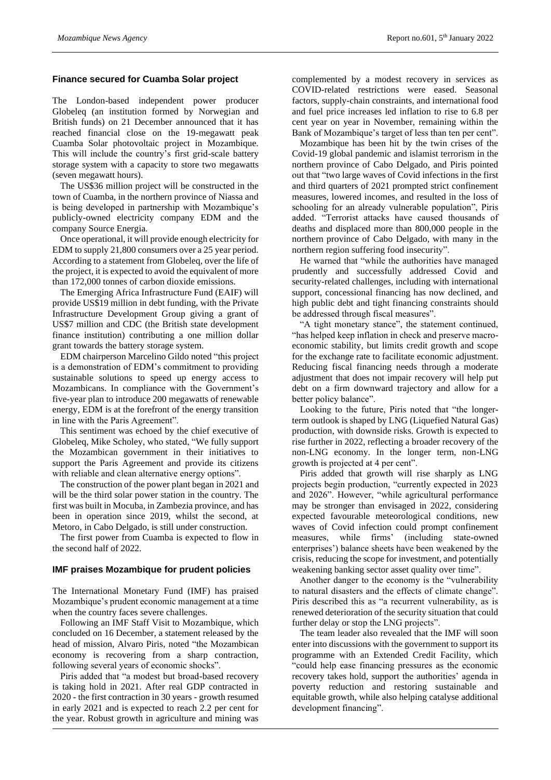#### **Finance secured for Cuamba Solar project**

The London-based independent power producer Globeleq (an institution formed by Norwegian and British funds) on 21 December announced that it has reached financial close on the 19-megawatt peak Cuamba Solar photovoltaic project in Mozambique. This will include the country's first grid-scale battery storage system with a capacity to store two megawatts (seven megawatt hours).

The US\$36 million project will be constructed in the town of Cuamba, in the northern province of Niassa and is being developed in partnership with Mozambique's publicly-owned electricity company EDM and the company Source Energia.

Once operational, it will provide enough electricity for EDM to supply 21,800 consumers over a 25 year period. According to a statement from Globeleq, over the life of the project, it is expected to avoid the equivalent of more than 172,000 tonnes of carbon dioxide emissions.

The Emerging Africa Infrastructure Fund (EAIF) will provide US\$19 million in debt funding, with the Private Infrastructure Development Group giving a grant of US\$7 million and CDC (the British state development finance institution) contributing a one million dollar grant towards the battery storage system.

EDM chairperson Marcelino Gildo noted "this project is a demonstration of EDM's commitment to providing sustainable solutions to speed up energy access to Mozambicans. In compliance with the Government's five-year plan to introduce 200 megawatts of renewable energy, EDM is at the forefront of the energy transition in line with the Paris Agreement".

This sentiment was echoed by the chief executive of Globeleq, Mike Scholey, who stated, "We fully support the Mozambican government in their initiatives to support the Paris Agreement and provide its citizens with reliable and clean alternative energy options".

The construction of the power plant began in 2021 and will be the third solar power station in the country. The first was built in Mocuba, in Zambezia province, and has been in operation since 2019, whilst the second, at Metoro, in Cabo Delgado, is still under construction.

The first power from Cuamba is expected to flow in the second half of 2022.

#### **IMF praises Mozambique for prudent policies**

The International Monetary Fund (IMF) has praised Mozambique's prudent economic management at a time when the country faces severe challenges.

Following an IMF Staff Visit to Mozambique, which concluded on 16 December, a statement released by the head of mission, Alvaro Piris, noted "the Mozambican economy is recovering from a sharp contraction, following several years of economic shocks".

Piris added that "a modest but broad-based recovery is taking hold in 2021. After real GDP contracted in 2020 - the first contraction in 30 years - growth resumed in early 2021 and is expected to reach 2.2 per cent for the year. Robust growth in agriculture and mining was

complemented by a modest recovery in services as COVID-related restrictions were eased. Seasonal factors, supply-chain constraints, and international food and fuel price increases led inflation to rise to 6.8 per cent year on year in November, remaining within the Bank of Mozambique's target of less than ten per cent".

Mozambique has been hit by the twin crises of the Covid-19 global pandemic and islamist terrorism in the northern province of Cabo Delgado, and Piris pointed out that "two large waves of Covid infections in the first and third quarters of 2021 prompted strict confinement measures, lowered incomes, and resulted in the loss of schooling for an already vulnerable population", Piris added. "Terrorist attacks have caused thousands of deaths and displaced more than 800,000 people in the northern province of Cabo Delgado, with many in the northern region suffering food insecurity".

He warned that "while the authorities have managed prudently and successfully addressed Covid and security-related challenges, including with international support, concessional financing has now declined, and high public debt and tight financing constraints should be addressed through fiscal measures".

"A tight monetary stance", the statement continued, "has helped keep inflation in check and preserve macroeconomic stability, but limits credit growth and scope for the exchange rate to facilitate economic adjustment. Reducing fiscal financing needs through a moderate adjustment that does not impair recovery will help put debt on a firm downward trajectory and allow for a better policy balance".

Looking to the future, Piris noted that "the longerterm outlook is shaped by LNG (Liquefied Natural Gas) production, with downside risks. Growth is expected to rise further in 2022, reflecting a broader recovery of the non-LNG economy. In the longer term, non-LNG growth is projected at 4 per cent".

Piris added that growth will rise sharply as LNG projects begin production, "currently expected in 2023 and 2026". However, "while agricultural performance may be stronger than envisaged in 2022, considering expected favourable meteorological conditions, new waves of Covid infection could prompt confinement measures, while firms' (including state-owned enterprises') balance sheets have been weakened by the crisis, reducing the scope for investment, and potentially weakening banking sector asset quality over time".

Another danger to the economy is the "vulnerability to natural disasters and the effects of climate change". Piris described this as "a recurrent vulnerability, as is renewed deterioration of the security situation that could further delay or stop the LNG projects".

The team leader also revealed that the IMF will soon enter into discussions with the government to support its programme with an Extended Credit Facility, which "could help ease financing pressures as the economic recovery takes hold, support the authorities' agenda in poverty reduction and restoring sustainable and equitable growth, while also helping catalyse additional development financing".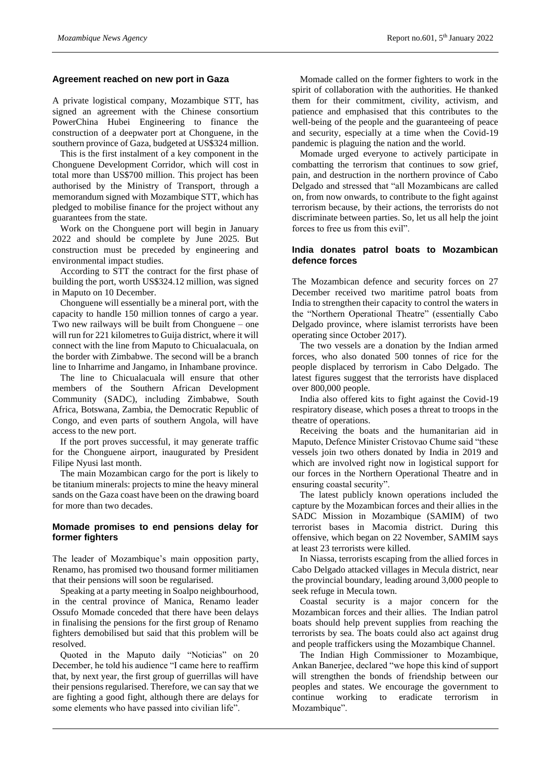#### **Agreement reached on new port in Gaza**

A private logistical company, Mozambique STT, has signed an agreement with the Chinese consortium PowerChina Hubei Engineering to finance the construction of a deepwater port at Chonguene, in the southern province of Gaza, budgeted at US\$324 million.

This is the first instalment of a key component in the Chonguene Development Corridor, which will cost in total more than US\$700 million. This project has been authorised by the Ministry of Transport, through a memorandum signed with Mozambique STT, which has pledged to mobilise finance for the project without any guarantees from the state.

Work on the Chonguene port will begin in January 2022 and should be complete by June 2025. But construction must be preceded by engineering and environmental impact studies.

According to STT the contract for the first phase of building the port, worth US\$324.12 million, was signed in Maputo on 10 December.

Chonguene will essentially be a mineral port, with the capacity to handle 150 million tonnes of cargo a year. Two new railways will be built from Chonguene – one will run for 221 kilometres to Guija district, where it will connect with the line from Maputo to Chicualacuala, on the border with Zimbabwe. The second will be a branch line to Inharrime and Jangamo, in Inhambane province.

The line to Chicualacuala will ensure that other members of the Southern African Development Community (SADC), including Zimbabwe, South Africa, Botswana, Zambia, the Democratic Republic of Congo, and even parts of southern Angola, will have access to the new port.

If the port proves successful, it may generate traffic for the Chonguene airport, inaugurated by President Filipe Nyusi last month.

The main Mozambican cargo for the port is likely to be titanium minerals: projects to mine the heavy mineral sands on the Gaza coast have been on the drawing board for more than two decades.

#### **Momade promises to end pensions delay for former fighters**

The leader of Mozambique's main opposition party, Renamo, has promised two thousand former militiamen that their pensions will soon be regularised.

Speaking at a party meeting in Soalpo neighbourhood, in the central province of Manica, Renamo leader Ossufo Momade conceded that there have been delays in finalising the pensions for the first group of Renamo fighters demobilised but said that this problem will be resolved.

Quoted in the Maputo daily "Noticias" on 20 December, he told his audience "I came here to reaffirm that, by next year, the first group of guerrillas will have their pensions regularised. Therefore, we can say that we are fighting a good fight, although there are delays for some elements who have passed into civilian life".

Momade called on the former fighters to work in the spirit of collaboration with the authorities. He thanked them for their commitment, civility, activism, and patience and emphasised that this contributes to the well-being of the people and the guaranteeing of peace and security, especially at a time when the Covid-19 pandemic is plaguing the nation and the world.

Momade urged everyone to actively participate in combatting the terrorism that continues to sow grief, pain, and destruction in the northern province of Cabo Delgado and stressed that "all Mozambicans are called on, from now onwards, to contribute to the fight against terrorism because, by their actions, the terrorists do not discriminate between parties. So, let us all help the joint forces to free us from this evil".

# **India donates patrol boats to Mozambican defence forces**

The Mozambican defence and security forces on 27 December received two maritime patrol boats from India to strengthen their capacity to control the waters in the "Northern Operational Theatre" (essentially Cabo Delgado province, where islamist terrorists have been operating since October 2017).

The two vessels are a donation by the Indian armed forces, who also donated 500 tonnes of rice for the people displaced by terrorism in Cabo Delgado. The latest figures suggest that the terrorists have displaced over 800,000 people.

India also offered kits to fight against the Covid-19 respiratory disease, which poses a threat to troops in the theatre of operations.

Receiving the boats and the humanitarian aid in Maputo, Defence Minister Cristovao Chume said "these vessels join two others donated by India in 2019 and which are involved right now in logistical support for our forces in the Northern Operational Theatre and in ensuring coastal security".

The latest publicly known operations included the capture by the Mozambican forces and their allies in the SADC Mission in Mozambique (SAMIM) of two terrorist bases in Macomia district. During this offensive, which began on 22 November, SAMIM says at least 23 terrorists were killed.

In Niassa, terrorists escaping from the allied forces in Cabo Delgado attacked villages in Mecula district, near the provincial boundary, leading around 3,000 people to seek refuge in Mecula town.

Coastal security is a major concern for the Mozambican forces and their allies. The Indian patrol boats should help prevent supplies from reaching the terrorists by sea. The boats could also act against drug and people traffickers using the Mozambique Channel.

The Indian High Commissioner to Mozambique, Ankan Banerjee, declared "we hope this kind of support will strengthen the bonds of friendship between our peoples and states. We encourage the government to continue working to eradicate terrorism in Mozambique".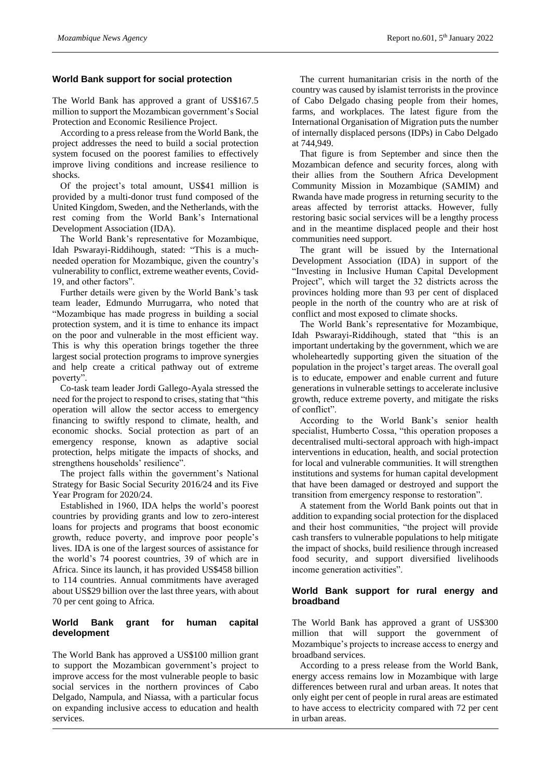#### **World Bank support for social protection**

The World Bank has approved a grant of US\$167.5 million to support the Mozambican government's Social Protection and Economic Resilience Project.

According to a press release from the World Bank, the project addresses the need to build a social protection system focused on the poorest families to effectively improve living conditions and increase resilience to shocks.

Of the project's total amount, US\$41 million is provided by a multi-donor trust fund composed of the United Kingdom, Sweden, and the Netherlands, with the rest coming from the World Bank's International Development Association (IDA).

The World Bank's representative for Mozambique, Idah Pswarayi-Riddihough, stated: "This is a muchneeded operation for Mozambique, given the country's vulnerability to conflict, extreme weather events, Covid-19, and other factors".

Further details were given by the World Bank's task team leader, Edmundo Murrugarra, who noted that "Mozambique has made progress in building a social protection system, and it is time to enhance its impact on the poor and vulnerable in the most efficient way. This is why this operation brings together the three largest social protection programs to improve synergies and help create a critical pathway out of extreme poverty".

Co-task team leader Jordi Gallego-Ayala stressed the need for the project to respond to crises, stating that "this operation will allow the sector access to emergency financing to swiftly respond to climate, health, and economic shocks. Social protection as part of an emergency response, known as adaptive social protection, helps mitigate the impacts of shocks, and strengthens households' resilience".

The project falls within the government's National Strategy for Basic Social Security 2016/24 and its Five Year Program for 2020/24.

Established in 1960, IDA helps the world's poorest countries by providing grants and low to zero-interest loans for projects and programs that boost economic growth, reduce poverty, and improve poor people's lives. IDA is one of the largest sources of assistance for the world's 74 poorest countries, 39 of which are in Africa. Since its launch, it has provided US\$458 billion to 114 countries. Annual commitments have averaged about US\$29 billion over the last three years, with about 70 per cent going to Africa.

# **World Bank grant for human capital development**

The World Bank has approved a US\$100 million grant to support the Mozambican government's project to improve access for the most vulnerable people to basic social services in the northern provinces of Cabo Delgado, Nampula, and Niassa, with a particular focus on expanding inclusive access to education and health services.

The current humanitarian crisis in the north of the country was caused by islamist terrorists in the province of Cabo Delgado chasing people from their homes, farms, and workplaces. The latest figure from the International Organisation of Migration puts the number of internally displaced persons (IDPs) in Cabo Delgado at 744,949.

That figure is from September and since then the Mozambican defence and security forces, along with their allies from the Southern Africa Development Community Mission in Mozambique (SAMIM) and Rwanda have made progress in returning security to the areas affected by terrorist attacks. However, fully restoring basic social services will be a lengthy process and in the meantime displaced people and their host communities need support.

The grant will be issued by the International Development Association (IDA) in support of the "Investing in Inclusive Human Capital Development Project", which will target the 32 districts across the provinces holding more than 93 per cent of displaced people in the north of the country who are at risk of conflict and most exposed to climate shocks.

The World Bank's representative for Mozambique, Idah Pswarayi-Riddihough, stated that "this is an important undertaking by the government, which we are wholeheartedly supporting given the situation of the population in the project's target areas. The overall goal is to educate, empower and enable current and future generations in vulnerable settings to accelerate inclusive growth, reduce extreme poverty, and mitigate the risks of conflict".

According to the World Bank's senior health specialist, Humberto Cossa, "this operation proposes a decentralised multi-sectoral approach with high-impact interventions in education, health, and social protection for local and vulnerable communities. It will strengthen institutions and systems for human capital development that have been damaged or destroyed and support the transition from emergency response to restoration".

A statement from the World Bank points out that in addition to expanding social protection for the displaced and their host communities, "the project will provide cash transfers to vulnerable populations to help mitigate the impact of shocks, build resilience through increased food security, and support diversified livelihoods income generation activities".

#### **World Bank support for rural energy and broadband**

The World Bank has approved a grant of US\$300 million that will support the government of Mozambique's projects to increase access to energy and broadband services.

According to a press release from the World Bank, energy access remains low in Mozambique with large differences between rural and urban areas. It notes that only eight per cent of people in rural areas are estimated to have access to electricity compared with 72 per cent in urban areas.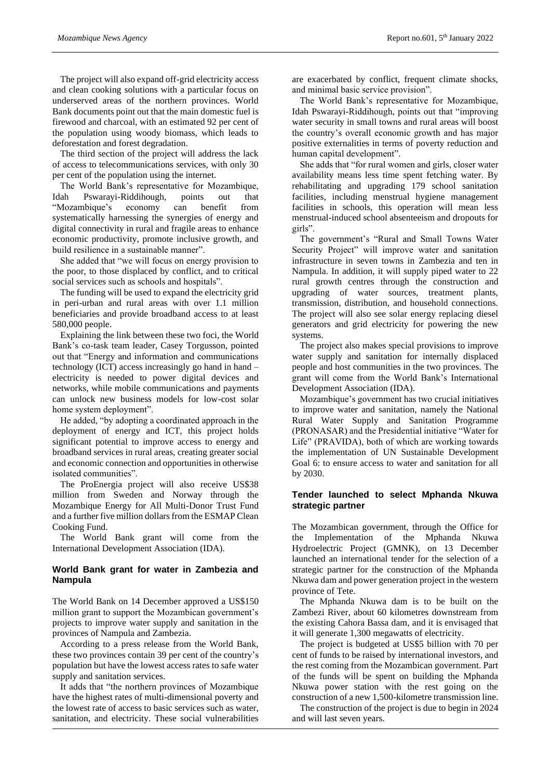The project will also expand off-grid electricity access and clean cooking solutions with a particular focus on underserved areas of the northern provinces. World Bank documents point out that the main domestic fuel is firewood and charcoal, with an estimated 92 per cent of the population using woody biomass, which leads to deforestation and forest degradation.

The third section of the project will address the lack of access to telecommunications services, with only 30 per cent of the population using the internet.

The World Bank's representative for Mozambique, Idah Pswarayi-Riddihough, points out that "Mozambique's economy can benefit from systematically harnessing the synergies of energy and digital connectivity in rural and fragile areas to enhance economic productivity, promote inclusive growth, and build resilience in a sustainable manner".

She added that "we will focus on energy provision to the poor, to those displaced by conflict, and to critical social services such as schools and hospitals".

The funding will be used to expand the electricity grid in peri-urban and rural areas with over 1.1 million beneficiaries and provide broadband access to at least 580,000 people.

Explaining the link between these two foci, the World Bank's co-task team leader, Casey Torgusson, pointed out that "Energy and information and communications technology (ICT) access increasingly go hand in hand – electricity is needed to power digital devices and networks, while mobile communications and payments can unlock new business models for low-cost solar home system deployment".

He added, "by adopting a coordinated approach in the deployment of energy and ICT, this project holds significant potential to improve access to energy and broadband services in rural areas, creating greater social and economic connection and opportunities in otherwise isolated communities".

The ProEnergia project will also receive US\$38 million from Sweden and Norway through the Mozambique Energy for All Multi-Donor Trust Fund and a further five million dollars from the ESMAP Clean Cooking Fund.

The World Bank grant will come from the International Development Association (IDA).

# **World Bank grant for water in Zambezia and Nampula**

The World Bank on 14 December approved a US\$150 million grant to support the Mozambican government's projects to improve water supply and sanitation in the provinces of Nampula and Zambezia.

According to a press release from the World Bank, these two provinces contain 39 per cent of the country's population but have the lowest access rates to safe water supply and sanitation services.

It adds that "the northern provinces of Mozambique have the highest rates of multi-dimensional poverty and the lowest rate of access to basic services such as water, sanitation, and electricity. These social vulnerabilities

are exacerbated by conflict, frequent climate shocks, and minimal basic service provision".

The World Bank's representative for Mozambique, Idah Pswarayi-Riddihough, points out that "improving water security in small towns and rural areas will boost the country's overall economic growth and has major positive externalities in terms of poverty reduction and human capital development".

She adds that "for rural women and girls, closer water availability means less time spent fetching water. By rehabilitating and upgrading 179 school sanitation facilities, including menstrual hygiene management facilities in schools, this operation will mean less menstrual-induced school absenteeism and dropouts for girls".

The government's "Rural and Small Towns Water Security Project" will improve water and sanitation infrastructure in seven towns in Zambezia and ten in Nampula. In addition, it will supply piped water to 22 rural growth centres through the construction and upgrading of water sources, treatment plants, transmission, distribution, and household connections. The project will also see solar energy replacing diesel generators and grid electricity for powering the new systems.

The project also makes special provisions to improve water supply and sanitation for internally displaced people and host communities in the two provinces. The grant will come from the World Bank's International Development Association (IDA).

Mozambique's government has two crucial initiatives to improve water and sanitation, namely the National Rural Water Supply and Sanitation Programme (PRONASAR) and the Presidential initiative "Water for Life" (PRAVIDA), both of which are working towards the implementation of UN Sustainable Development Goal 6: to ensure access to water and sanitation for all by 2030.

# **Tender launched to select Mphanda Nkuwa strategic partner**

The Mozambican government, through the Office for the Implementation of the Mphanda Nkuwa Hydroelectric Project (GMNK), on 13 December launched an international tender for the selection of a strategic partner for the construction of the Mphanda Nkuwa dam and power generation project in the western province of Tete.

The Mphanda Nkuwa dam is to be built on the Zambezi River, about 60 kilometres downstream from the existing Cahora Bassa dam, and it is envisaged that it will generate 1,300 megawatts of electricity.

The project is budgeted at US\$5 billion with 70 per cent of funds to be raised by international investors, and the rest coming from the Mozambican government. Part of the funds will be spent on building the Mphanda Nkuwa power station with the rest going on the construction of a new 1,500-kilometre transmission line.

The construction of the project is due to begin in 2024 and will last seven years.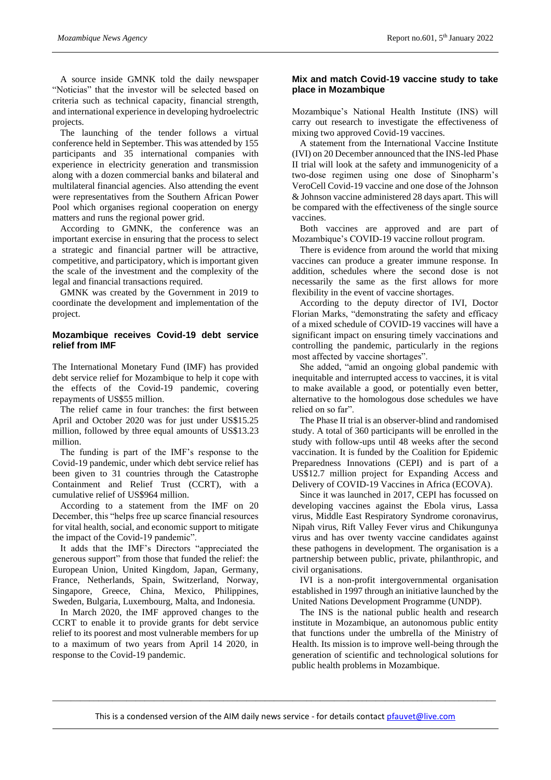A source inside GMNK told the daily newspaper "Noticias" that the investor will be selected based on criteria such as technical capacity, financial strength, and international experience in developing hydroelectric projects.

The launching of the tender follows a virtual conference held in September. This was attended by 155 participants and 35 international companies with experience in electricity generation and transmission along with a dozen commercial banks and bilateral and multilateral financial agencies. Also attending the event were representatives from the Southern African Power Pool which organises regional cooperation on energy matters and runs the regional power grid.

According to GMNK, the conference was an important exercise in ensuring that the process to select a strategic and financial partner will be attractive, competitive, and participatory, which is important given the scale of the investment and the complexity of the legal and financial transactions required.

GMNK was created by the Government in 2019 to coordinate the development and implementation of the project.

#### **Mozambique receives Covid-19 debt service relief from IMF**

The International Monetary Fund (IMF) has provided debt service relief for Mozambique to help it cope with the effects of the Covid-19 pandemic, covering repayments of US\$55 million.

The relief came in four tranches: the first between April and October 2020 was for just under US\$15.25 million, followed by three equal amounts of US\$13.23 million.

The funding is part of the IMF's response to the Covid-19 pandemic, under which debt service relief has been given to 31 countries through the Catastrophe Containment and Relief Trust (CCRT), with a cumulative relief of US\$964 million.

According to a statement from the IMF on 20 December, this "helps free up scarce financial resources for vital health, social, and economic support to mitigate the impact of the Covid-19 pandemic".

It adds that the IMF's Directors "appreciated the generous support" from those that funded the relief: the European Union, United Kingdom, Japan, Germany, France, Netherlands, Spain, Switzerland, Norway, Singapore, Greece, China, Mexico, Philippines, Sweden, Bulgaria, Luxembourg, Malta, and Indonesia.

In March 2020, the IMF approved changes to the CCRT to enable it to provide grants for debt service relief to its poorest and most vulnerable members for up to a maximum of two years from April 14 2020, in response to the Covid-19 pandemic.

#### **Mix and match Covid-19 vaccine study to take place in Mozambique**

Mozambique's National Health Institute (INS) will carry out research to investigate the effectiveness of mixing two approved Covid-19 vaccines.

A statement from the International Vaccine Institute (IVI) on 20 December announced that the INS-led Phase II trial will look at the safety and immunogenicity of a two-dose regimen using one dose of Sinopharm's VeroCell Covid-19 vaccine and one dose of the Johnson & Johnson vaccine administered 28 days apart. This will be compared with the effectiveness of the single source vaccines.

Both vaccines are approved and are part of Mozambique's COVID-19 vaccine rollout program.

There is evidence from around the world that mixing vaccines can produce a greater immune response. In addition, schedules where the second dose is not necessarily the same as the first allows for more flexibility in the event of vaccine shortages.

According to the deputy director of IVI, Doctor Florian Marks, "demonstrating the safety and efficacy of a mixed schedule of COVID-19 vaccines will have a significant impact on ensuring timely vaccinations and controlling the pandemic, particularly in the regions most affected by vaccine shortages".

She added, "amid an ongoing global pandemic with inequitable and interrupted access to vaccines, it is vital to make available a good, or potentially even better, alternative to the homologous dose schedules we have relied on so far".

The Phase II trial is an observer-blind and randomised study. A total of 360 participants will be enrolled in the study with follow-ups until 48 weeks after the second vaccination. It is funded by the Coalition for Epidemic Preparedness Innovations (CEPI) and is part of a US\$12.7 million project for Expanding Access and Delivery of COVID-19 Vaccines in Africa (ECOVA).

Since it was launched in 2017, CEPI has focussed on developing vaccines against the Ebola virus, Lassa virus, Middle East Respiratory Syndrome coronavirus, Nipah virus, Rift Valley Fever virus and Chikungunya virus and has over twenty vaccine candidates against these pathogens in development. The organisation is a partnership between public, private, philanthropic, and civil organisations.

IVI is a non-profit intergovernmental organisation established in 1997 through an initiative launched by the United Nations Development Programme (UNDP).

The INS is the national public health and research institute in Mozambique, an autonomous public entity that functions under the umbrella of the Ministry of Health. Its mission is to improve well-being through the generation of scientific and technological solutions for public health problems in Mozambique.

\_\_\_\_\_\_\_\_\_\_\_\_\_\_\_\_\_\_\_\_\_\_\_\_\_\_\_\_\_\_\_\_\_\_\_\_\_\_\_\_\_\_\_\_\_\_\_\_\_\_\_\_\_\_\_\_\_\_\_\_\_\_\_\_\_\_\_\_\_\_\_\_\_\_\_\_\_\_\_\_\_\_\_\_\_\_\_\_\_\_\_\_\_\_\_\_